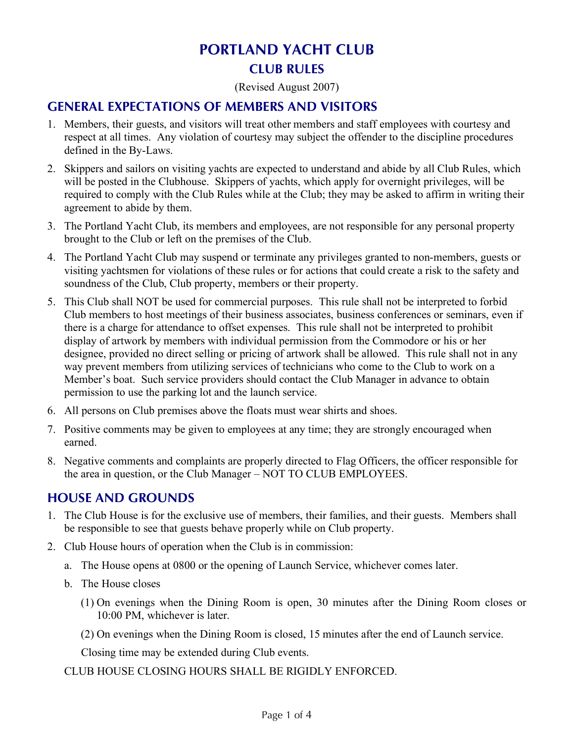# **PORTLAND YACHT CLUB CLUB RULES**

(Revised August 2007)

#### **GENERAL EXPECTATIONS OF MEMBERS AND VISITORS**

- 1. Members, their guests, and visitors will treat other members and staff employees with courtesy and respect at all times. Any violation of courtesy may subject the offender to the discipline procedures defined in the By-Laws.
- 2. Skippers and sailors on visiting yachts are expected to understand and abide by all Club Rules, which will be posted in the Clubhouse. Skippers of yachts, which apply for overnight privileges, will be required to comply with the Club Rules while at the Club; they may be asked to affirm in writing their agreement to abide by them.
- 3. The Portland Yacht Club, its members and employees, are not responsible for any personal property brought to the Club or left on the premises of the Club.
- 4. The Portland Yacht Club may suspend or terminate any privileges granted to non-members, guests or visiting yachtsmen for violations of these rules or for actions that could create a risk to the safety and soundness of the Club, Club property, members or their property.
- 5. This Club shall NOT be used for commercial purposes. This rule shall not be interpreted to forbid Club members to host meetings of their business associates, business conferences or seminars, even if there is a charge for attendance to offset expenses. This rule shall not be interpreted to prohibit display of artwork by members with individual permission from the Commodore or his or her designee, provided no direct selling or pricing of artwork shall be allowed. This rule shall not in any way prevent members from utilizing services of technicians who come to the Club to work on a Member's boat. Such service providers should contact the Club Manager in advance to obtain permission to use the parking lot and the launch service.
- 6. All persons on Club premises above the floats must wear shirts and shoes.
- 7. Positive comments may be given to employees at any time; they are strongly encouraged when earned.
- 8. Negative comments and complaints are properly directed to Flag Officers, the officer responsible for the area in question, or the Club Manager – NOT TO CLUB EMPLOYEES.

#### **HOUSE AND GROUNDS**

- 1. The Club House is for the exclusive use of members, their families, and their guests. Members shall be responsible to see that guests behave properly while on Club property.
- 2. Club House hours of operation when the Club is in commission:
	- a. The House opens at 0800 or the opening of Launch Service, whichever comes later.
	- b. The House closes
		- (1) On evenings when the Dining Room is open, 30 minutes after the Dining Room closes or 10:00 PM, whichever is later.
		- (2) On evenings when the Dining Room is closed, 15 minutes after the end of Launch service.

Closing time may be extended during Club events.

CLUB HOUSE CLOSING HOURS SHALL BE RIGIDLY ENFORCED.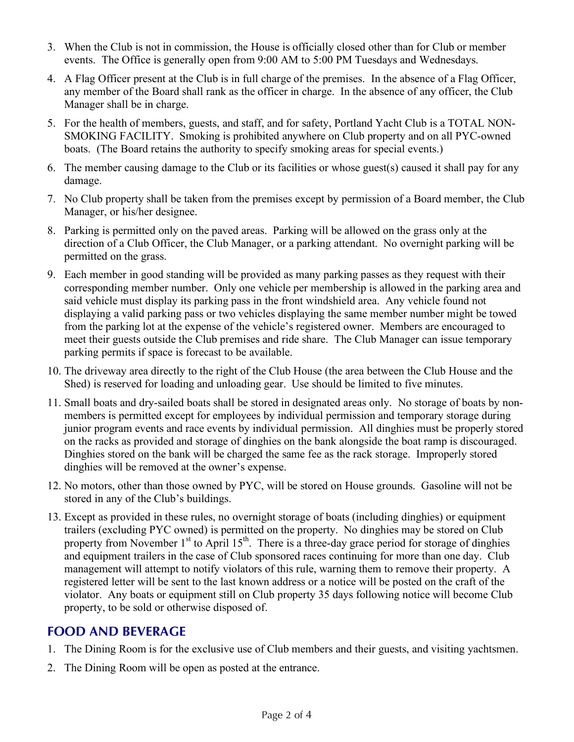- 3. When the Club is not in commission, the House is officially closed other than for Club or member events. The Office is generally open from 9:00 AM to 5:00 PM Tuesdays and Wednesdays.
- 4. A Flag Officer present at the Club is in full charge of the premises. In the absence of a Flag Officer, any member of the Board shall rank as the officer in charge. In the absence of any officer, the Club Manager shall be in charge.
- 5. For the health of members, guests, and staff, and for safety, Portland Yacht Club is a TOTAL NON-SMOKING FACILITY. Smoking is prohibited anywhere on Club property and on all PYC-owned boats. (The Board retains the authority to specify smoking areas for special events.)
- 6. The member causing damage to the Club or its facilities or whose guest(s) caused it shall pay for any damage.
- 7. No Club property shall be taken from the premises except by permission of a Board member, the Club Manager, or his/her designee.
- 8. Parking is permitted only on the paved areas. Parking will be allowed on the grass only at the direction of a Club Officer, the Club Manager, or a parking attendant. No overnight parking will be permitted on the grass.
- 9. Each member in good standing will be provided as many parking passes as they request with their corresponding member number. Only one vehicle per membership is allowed in the parking area and said vehicle must display its parking pass in the front windshield area. Any vehicle found not displaying a valid parking pass or two vehicles displaying the same member number might be towed from the parking lot at the expense of the vehicle's registered owner. Members are encouraged to meet their guests outside the Club premises and ride share. The Club Manager can issue temporary parking permits if space is forecast to be available.
- 10. The driveway area directly to the right of the Club House (the area between the Club House and the Shed) is reserved for loading and unloading gear. Use should be limited to five minutes.
- 11. Small boats and dry-sailed boats shall be stored in designated areas only. No storage of boats by nonmembers is permitted except for employees by individual permission and temporary storage during junior program events and race events by individual permission. All dinghies must be properly stored on the racks as provided and storage of dinghies on the bank alongside the boat ramp is discouraged. Dinghies stored on the bank will be charged the same fee as the rack storage. Improperly stored dinghies will be removed at the owner's expense.
- 12. No motors, other than those owned by PYC, will be stored on House grounds. Gasoline will not be stored in any of the Club's buildings.
- 13. Except as provided in these rules, no overnight storage of boats (including dinghies) or equipment trailers (excluding PYC owned) is permitted on the property. No dinghies may be stored on Club property from November  $1<sup>st</sup>$  to April  $15<sup>th</sup>$ . There is a three-day grace period for storage of dinghies and equipment trailers in the case of Club sponsored races continuing for more than one day. Club management will attempt to notify violators of this rule, warning them to remove their property. A registered letter will be sent to the last known address or a notice will be posted on the craft of the violator. Any boats or equipment still on Club property 35 days following notice will become Club property, to be sold or otherwise disposed of.

#### **FOOD AND BEVERAGE**

- 1. The Dining Room is for the exclusive use of Club members and their guests, and visiting yachtsmen.
- 2. The Dining Room will be open as posted at the entrance.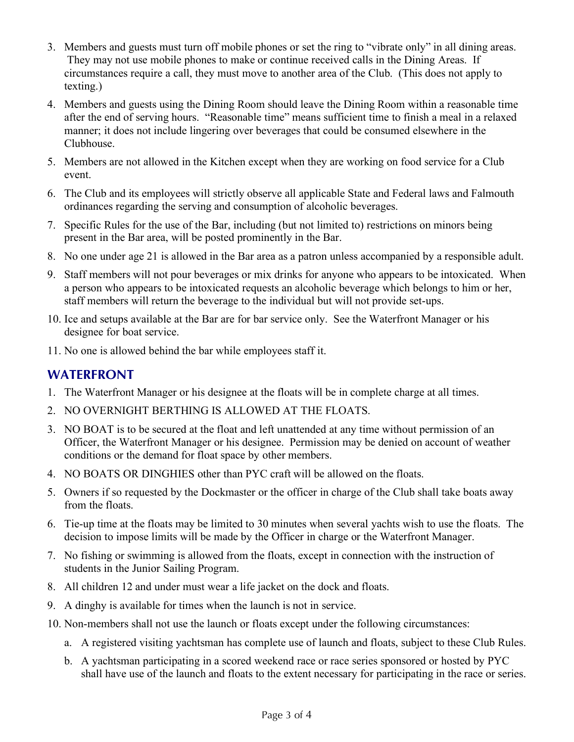- 3. Members and guests must turn off mobile phones or set the ring to "vibrate only" in all dining areas. They may not use mobile phones to make or continue received calls in the Dining Areas. If circumstances require a call, they must move to another area of the Club. (This does not apply to texting.)
- 4. Members and guests using the Dining Room should leave the Dining Room within a reasonable time after the end of serving hours. "Reasonable time" means sufficient time to finish a meal in a relaxed manner; it does not include lingering over beverages that could be consumed elsewhere in the Clubhouse.
- 5. Members are not allowed in the Kitchen except when they are working on food service for a Club event.
- 6. The Club and its employees will strictly observe all applicable State and Federal laws and Falmouth ordinances regarding the serving and consumption of alcoholic beverages.
- 7. Specific Rules for the use of the Bar, including (but not limited to) restrictions on minors being present in the Bar area, will be posted prominently in the Bar.
- 8. No one under age 21 is allowed in the Bar area as a patron unless accompanied by a responsible adult.
- 9. Staff members will not pour beverages or mix drinks for anyone who appears to be intoxicated. When a person who appears to be intoxicated requests an alcoholic beverage which belongs to him or her, staff members will return the beverage to the individual but will not provide set-ups.
- 10. Ice and setups available at the Bar are for bar service only. See the Waterfront Manager or his designee for boat service.
- 11. No one is allowed behind the bar while employees staff it.

### **WATERFRONT**

- 1. The Waterfront Manager or his designee at the floats will be in complete charge at all times.
- 2 NO OVERNIGHT BERTHING IS ALLOWED AT THE FLOATS.
- 3. NO BOAT is to be secured at the float and left unattended at any time without permission of an Officer, the Waterfront Manager or his designee. Permission may be denied on account of weather conditions or the demand for float space by other members.
- 4. NO BOATS OR DINGHIES other than PYC craft will be allowed on the floats.
- 5. Owners if so requested by the Dockmaster or the officer in charge of the Club shall take boats away from the floats.
- 6. Tie-up time at the floats may be limited to 30 minutes when several yachts wish to use the floats. The decision to impose limits will be made by the Officer in charge or the Waterfront Manager.
- 7. No fishing or swimming is allowed from the floats, except in connection with the instruction of students in the Junior Sailing Program.
- 8. All children 12 and under must wear a life jacket on the dock and floats.
- 9. A dinghy is available for times when the launch is not in service.
- 10. Non-members shall not use the launch or floats except under the following circumstances:
	- a. A registered visiting yachtsman has complete use of launch and floats, subject to these Club Rules.
	- b. A yachtsman participating in a scored weekend race or race series sponsored or hosted by PYC shall have use of the launch and floats to the extent necessary for participating in the race or series.